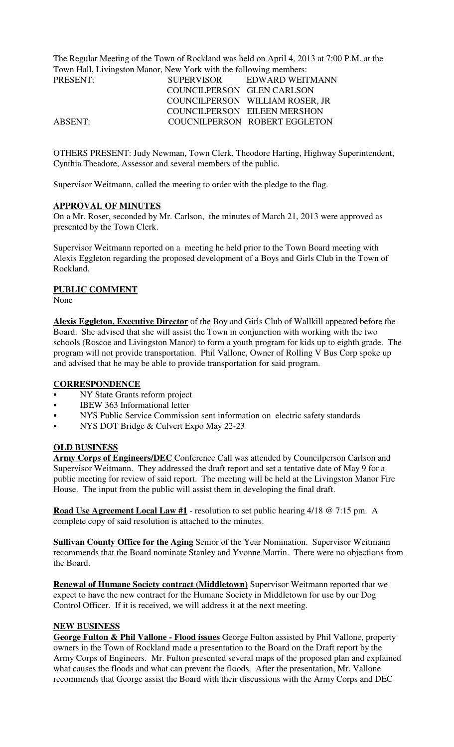The Regular Meeting of the Town of Rockland was held on April 4, 2013 at 7:00 P.M. at the Town Hall, Livingston Manor, New York with the following members:

| PRESENT:       | <b>SUPERVISOR</b>          | EDWARD WEITMANN                 |
|----------------|----------------------------|---------------------------------|
|                | COUNCILPERSON GLEN CARLSON |                                 |
|                |                            | COUNCILPERSON WILLIAM ROSER, JR |
|                |                            | COUNCILPERSON EILEEN MERSHON    |
| <b>ABSENT:</b> |                            | COUCNILPERSON ROBERT EGGLETON   |
|                |                            |                                 |

OTHERS PRESENT: Judy Newman, Town Clerk, Theodore Harting, Highway Superintendent, Cynthia Theadore, Assessor and several members of the public.

Supervisor Weitmann, called the meeting to order with the pledge to the flag.

### **APPROVAL OF MINUTES**

On a Mr. Roser, seconded by Mr. Carlson, the minutes of March 21, 2013 were approved as presented by the Town Clerk.

Supervisor Weitmann reported on a meeting he held prior to the Town Board meeting with Alexis Eggleton regarding the proposed development of a Boys and Girls Club in the Town of Rockland.

### **PUBLIC COMMENT**

None

**Alexis Eggleton, Executive Director** of the Boy and Girls Club of Wallkill appeared before the Board. She advised that she will assist the Town in conjunction with working with the two schools (Roscoe and Livingston Manor) to form a youth program for kids up to eighth grade. The program will not provide transportation. Phil Vallone, Owner of Rolling V Bus Corp spoke up and advised that he may be able to provide transportation for said program.

### **CORRESPONDENCE**

- NY State Grants reform project
- IBEW 363 Informational letter
- NYS Public Service Commission sent information on electric safety standards
- NYS DOT Bridge & Culvert Expo May 22-23

### **OLD BUSINESS**

**Army Corps of Engineers/DEC** Conference Call was attended by Councilperson Carlson and Supervisor Weitmann. They addressed the draft report and set a tentative date of May 9 for a public meeting for review of said report. The meeting will be held at the Livingston Manor Fire House. The input from the public will assist them in developing the final draft.

**Road Use Agreement Local Law #1** - resolution to set public hearing 4/18 @ 7:15 pm. A complete copy of said resolution is attached to the minutes.

**Sullivan County Office for the Aging** Senior of the Year Nomination. Supervisor Weitmann recommends that the Board nominate Stanley and Yvonne Martin. There were no objections from the Board.

**Renewal of Humane Society contract (Middletown)** Supervisor Weitmann reported that we expect to have the new contract for the Humane Society in Middletown for use by our Dog Control Officer. If it is received, we will address it at the next meeting.

### **NEW BUSINESS**

**George Fulton & Phil Vallone - Flood issues** George Fulton assisted by Phil Vallone, property owners in the Town of Rockland made a presentation to the Board on the Draft report by the Army Corps of Engineers. Mr. Fulton presented several maps of the proposed plan and explained what causes the floods and what can prevent the floods. After the presentation, Mr. Vallone recommends that George assist the Board with their discussions with the Army Corps and DEC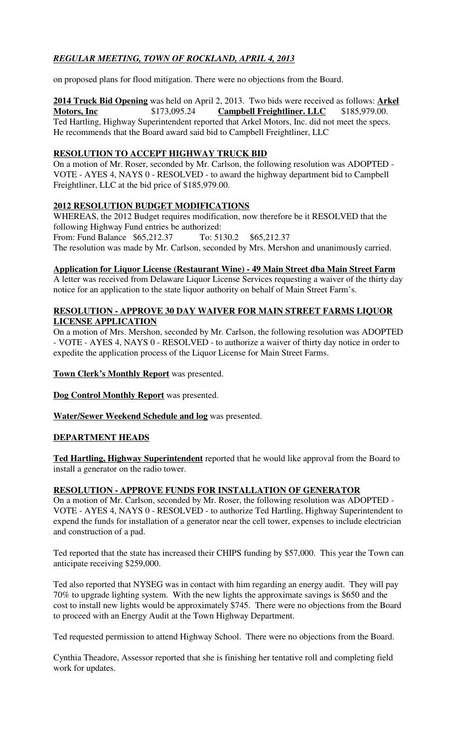# *REGULAR MEETING, TOWN OF ROCKLAND, APRIL 4, 2013*

on proposed plans for flood mitigation. There were no objections from the Board.

**2014 Truck Bid Opening** was held on April 2, 2013. Two bids were received as follows: **Arkel Motors, Inc** \$173,095.24 **Campbell Freightliner. LLC** \$185,979.00. Ted Hartling, Highway Superintendent reported that Arkel Motors, Inc. did not meet the specs. He recommends that the Board award said bid to Campbell Freightliner, LLC

## **RESOLUTION TO ACCEPT HIGHWAY TRUCK BID**

On a motion of Mr. Roser, seconded by Mr. Carlson, the following resolution was ADOPTED - VOTE - AYES 4, NAYS 0 - RESOLVED - to award the highway department bid to Campbell Freightliner, LLC at the bid price of \$185,979.00.

# **2012 RESOLUTION BUDGET MODIFICATIONS**

WHEREAS, the 2012 Budget requires modification, now therefore be it RESOLVED that the following Highway Fund entries be authorized:<br>From: Fund Balance \$65,212.37 To: 5130.2 \$65.212.37 From: Fund Balance  $$65,212.37$ The resolution was made by Mr. Carlson, seconded by Mrs. Mershon and unanimously carried.

# **Application for Liquor License (Restaurant Wine) - 49 Main Street dba Main Street Farm**

A letter was received from Delaware Liquor License Services requesting a waiver of the thirty day notice for an application to the state liquor authority on behalf of Main Street Farm's.

## **RESOLUTION - APPROVE 30 DAY WAIVER FOR MAIN STREET FARMS LIQUOR LICENSE APPLICATION**

On a motion of Mrs. Mershon, seconded by Mr. Carlson, the following resolution was ADOPTED - VOTE - AYES 4, NAYS 0 - RESOLVED - to authorize a waiver of thirty day notice in order to expedite the application process of the Liquor License for Main Street Farms.

## **Town Clerk's Monthly Report** was presented.

**Dog Control Monthly Report** was presented.

**Water/Sewer Weekend Schedule and log** was presented.

# **DEPARTMENT HEADS**

**Ted Hartling, Highway Superintendent** reported that he would like approval from the Board to install a generator on the radio tower.

## **RESOLUTION - APPROVE FUNDS FOR INSTALLATION OF GENERATOR**

On a motion of Mr. Carlson, seconded by Mr. Roser, the following resolution was ADOPTED - VOTE - AYES 4, NAYS 0 - RESOLVED - to authorize Ted Hartling, Highway Superintendent to expend the funds for installation of a generator near the cell tower, expenses to include electrician and construction of a pad.

Ted reported that the state has increased their CHIPS funding by \$57,000. This year the Town can anticipate receiving \$259,000.

Ted also reported that NYSEG was in contact with him regarding an energy audit. They will pay 70% to upgrade lighting system. With the new lights the approximate savings is \$650 and the cost to install new lights would be approximately \$745. There were no objections from the Board to proceed with an Energy Audit at the Town Highway Department.

Ted requested permission to attend Highway School. There were no objections from the Board.

Cynthia Theadore, Assessor reported that she is finishing her tentative roll and completing field work for updates.